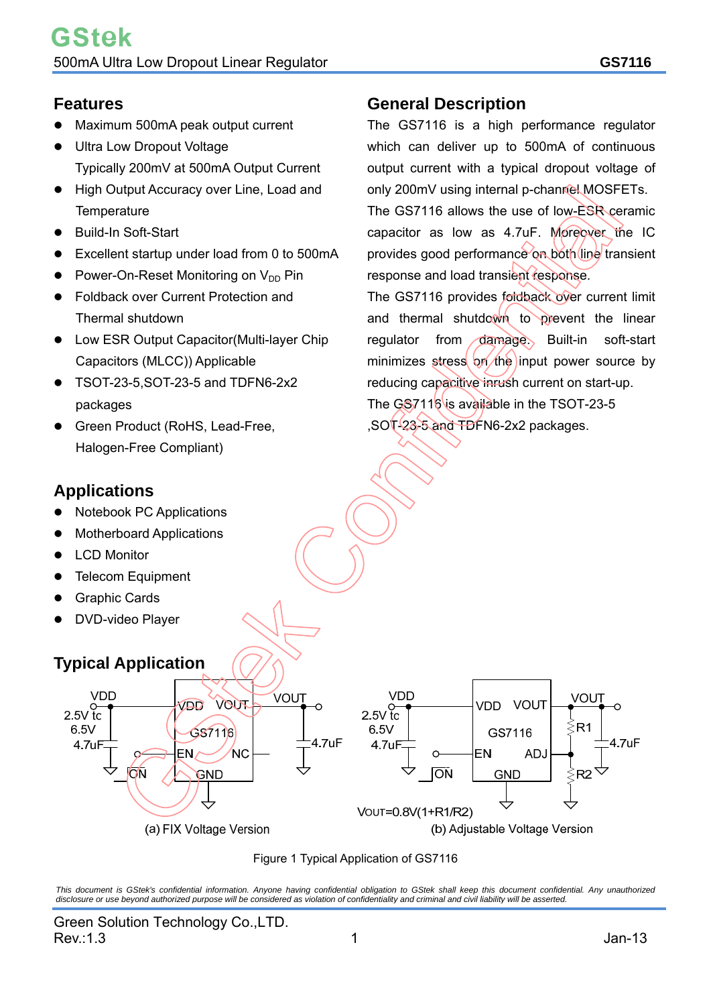## **Features**

- Maximum 500mA peak output current
- Ultra Low Dropout Voltage Typically 200mV at 500mA Output Current
- High Output Accuracy over Line, Load and **Temperature**
- Build-In Soft-Start
- Excellent startup under load from 0 to 500mA
- Power-On-Reset Monitoring on V<sub>DD</sub> Pin
- Foldback over Current Protection and Thermal shutdown
- Low ESR Output Capacitor(Multi-layer Chip Capacitors (MLCC)) Applicable
- TSOT-23-5,SOT-23-5 and TDFN6-2x2 packages
- Green Product (RoHS, Lead-Free, Halogen-Free Compliant)

## **Applications**

- Notebook PC Applications
- Motherboard Applications
- LCD Monitor
- Telecom Equipment
- Graphic Cards
- DVD-video Player

## **Typical Application**

## **General Description**

The GS7116 is a high performance regulator which can deliver up to 500mA of continuous output current with a typical dropout voltage of only 200mV using internal p-channel MOSFETs.

The GS7116 allows the use of low-ESR ceramic capacitor as low as 4.7uF. Moreover the IC provides good performance on both (line transient response and load transient response.

The GS7116 provides foldback over current limit and thermal shutdown to prevent the linear regulator from damage. Built-in soft-start minimizes stress on the input power source by reducing capacitive inrush current on start-up. The GS7116 is available in the TSOT-23-5 ,SOT-23-5 and TDFN6-2x2 packages.





*This document is GStek's confidential information. Anyone having confidential obligation to GStek shall keep this document confidential. Any unauthorized disclosure or use beyond authorized purpose will be considered as violation of confidentiality and criminal and civil liability will be asserted.*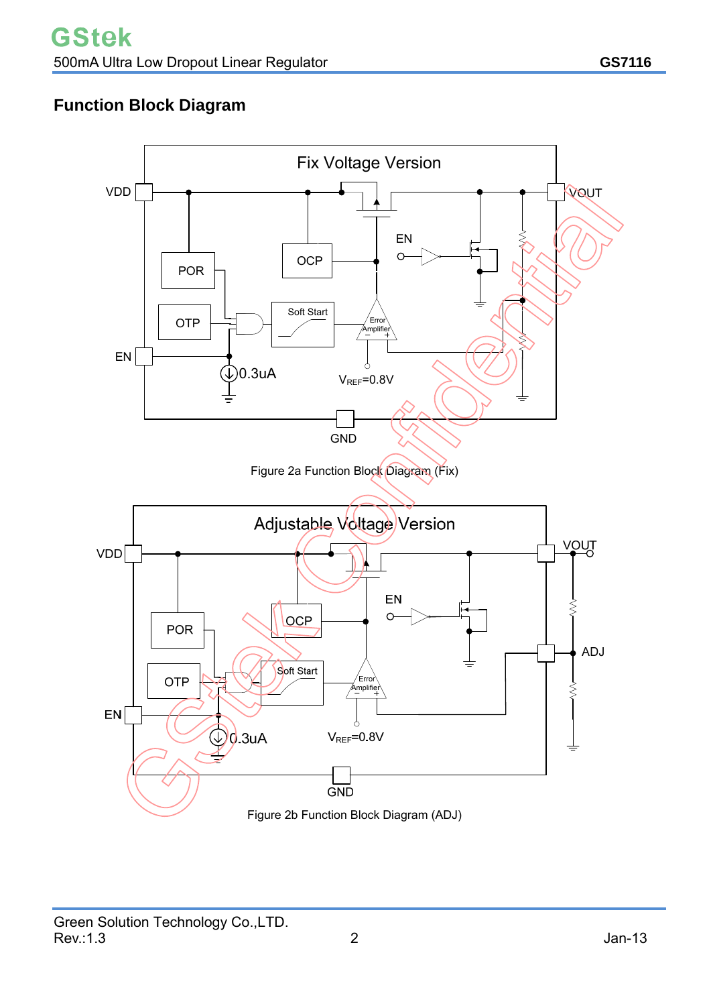# **Function Block Diagram**

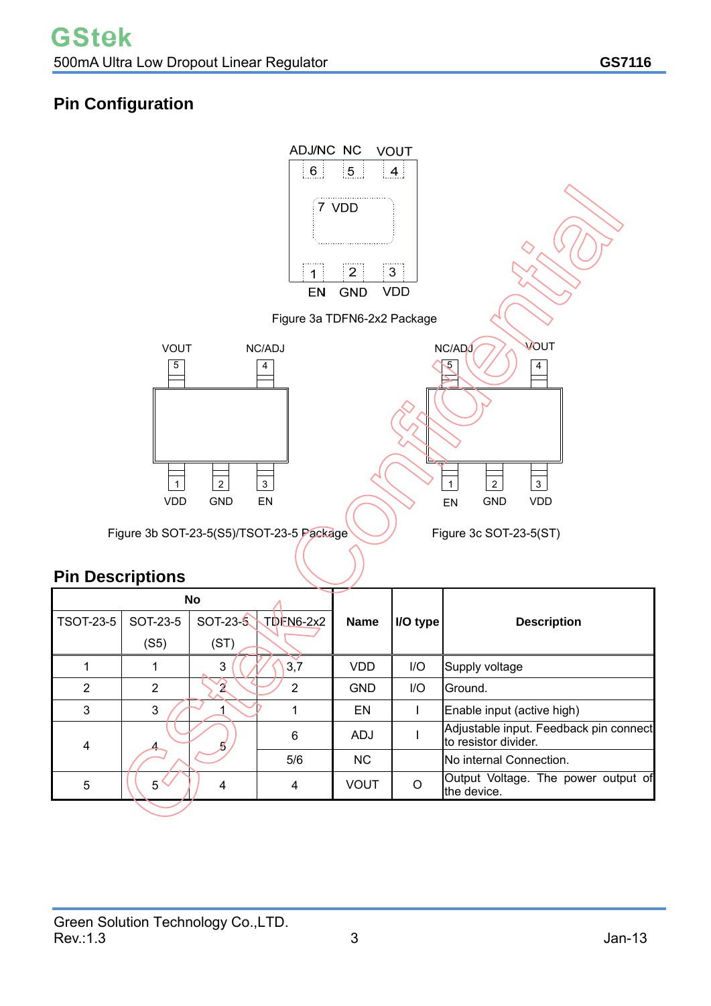# **Pin Configuration**



# **Pin Descriptions**

| <b>No</b>        |             |            |                    |             |          |                                                                |  |  |
|------------------|-------------|------------|--------------------|-------------|----------|----------------------------------------------------------------|--|--|
| <b>TSOT-23-5</b> | SOT-23-5    | $SOT-23-5$ | $\nabla$ TDEN6-2x2 | <b>Name</b> | I/O type | <b>Description</b>                                             |  |  |
|                  | (S5)        | (ST)       |                    |             |          |                                                                |  |  |
|                  |             | 3          | 3,7                | <b>VDD</b>  | I/O      | Supply voltage                                                 |  |  |
| 2                | 2           | ø          | 2                  | <b>GND</b>  | I/O      | lGround.                                                       |  |  |
| 3                | 3           |            |                    | EN          |          | Enable input (active high)                                     |  |  |
| 4                |             |            | 6                  | <b>ADJ</b>  |          | Adjustable input. Feedback pin connect<br>to resistor divider. |  |  |
|                  |             |            | 5/6                | <b>NC</b>   |          | No internal Connection.                                        |  |  |
| 5                | $5^{\circ}$ | 4          | 4                  | VOUT        | ∩        | Output Voltage. The power output of<br>the device.             |  |  |
|                  |             |            |                    |             |          |                                                                |  |  |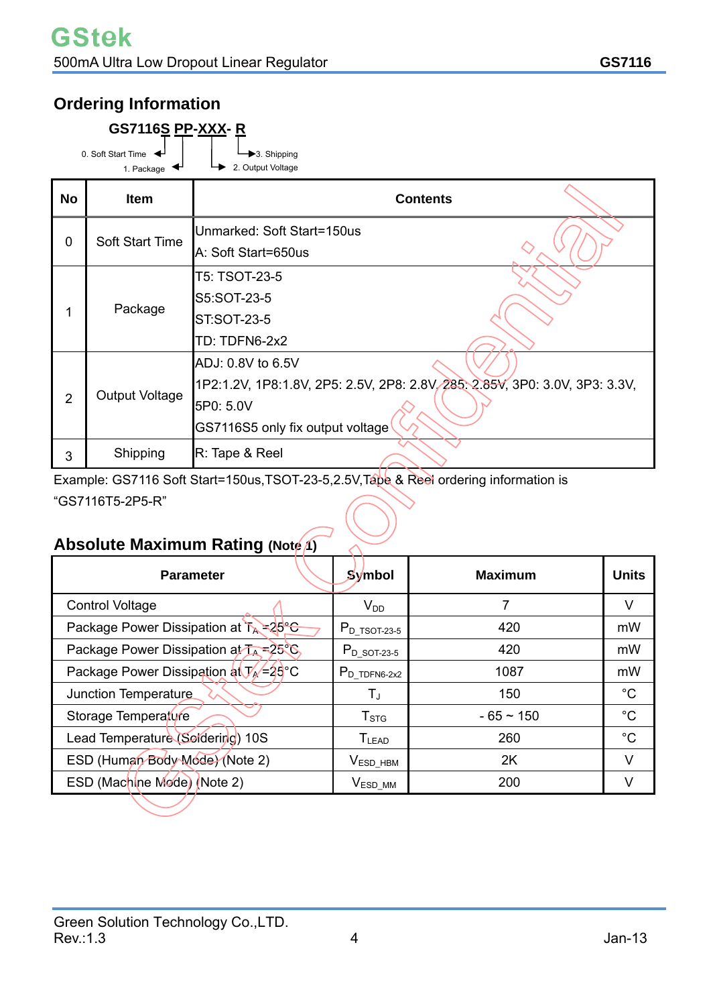# **Ordering Information**

| <b>GS7116S PP-XXX-R</b>          |  |                                  |  |  |  |  |  |
|----------------------------------|--|----------------------------------|--|--|--|--|--|
| 0. Soft Start Time<br>1. Package |  | 3. Shipping<br>2. Output Voltage |  |  |  |  |  |

| <b>No</b>      | <b>Item</b>     | <b>Contents</b>                                                             |
|----------------|-----------------|-----------------------------------------------------------------------------|
| $\overline{0}$ | Soft Start Time | Unmarked: Soft Start=150us<br>A: Soft Start=650us                           |
|                |                 | T5: TSOT-23-5                                                               |
|                | Package         | S5:SOT-23-5                                                                 |
|                |                 | <b>ST:SOT-23-5</b>                                                          |
|                |                 | TD: TDFN6-2x2                                                               |
|                |                 | ADJ: 0.8V to 6.5V                                                           |
|                | Output Voltage  | 1P2:1.2V, 1P8:1.8V, 2P5: 2.5V, 2P8: 2.8V, 285, 2.85V, 3P0: 3.0V, 3P3: 3.3V, |
| $\overline{2}$ |                 | 5P0: 5.0V                                                                   |
|                |                 | GS7116S5 only fix output voltage                                            |
| 3              | Shipping        | R: Tape & Reel                                                              |

Example: GS7116 Soft Start=150us,TSOT-23-5,2.5V,Tape & Reel ordering information is "GS7116T5-2P5-R"

# **Absolute Maximum Rating (Note 1)**

| <b>Parameter</b>                                       | Symbol                       | <b>Maximum</b> | <b>Units</b> |
|--------------------------------------------------------|------------------------------|----------------|--------------|
| <b>Control Voltage</b>                                 | $V_{DD}$                     |                |              |
| Package Power Dissipation at TA = 25°C                 | $P_{D_T^T S O T-23-5}$       | 420            | mW           |
| Package Power Dissipation at TA = 25°C,                | 420<br>$P_{D_5QT-23-5}$      |                | mW           |
| Package Power Dissipation at $V_A = 25^\circ \text{C}$ | $P_D$ TDFN6-2x2              | 1087           | mW           |
| Junction Temperature                                   | $T_{\rm J}$                  | 150            | $^{\circ}C$  |
| Storage Temperature                                    | $T_{\mathtt{STG}}$           | $-65 - 150$    | $^{\circ}C$  |
| Lead Temperature (Soldering) 10S                       | $\mathsf{T}_{\mathsf{LEAD}}$ | 260            | $^{\circ}C$  |
| ESD (Human Body Mode) (Note 2)                         | $VESD_HBM$                   | 2K             | V            |
| ESD (Machine Mode) (Note 2)                            | $V_{ESD\_MM}$                | 200            |              |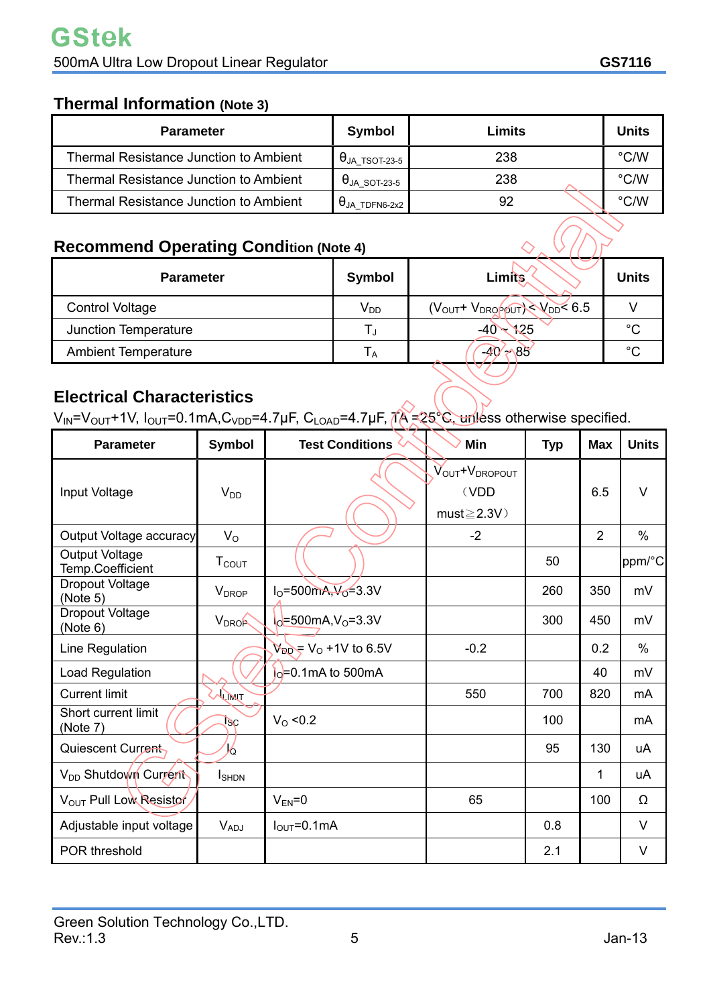## **Thermal Information (Note 3)**

| <b>Parameter</b>                              | Symbol                | Limits | <b>Units</b>  |
|-----------------------------------------------|-----------------------|--------|---------------|
| <b>Thermal Resistance Junction to Ambient</b> | $\theta$ ja tsot-23-5 | 238    | $\degree$ C/W |
| <b>Thermal Resistance Junction to Ambient</b> | $\theta$ JA SOT-23-5  | 238    | $\degree$ C/W |
| <b>Thermal Resistance Junction to Ambient</b> | $\theta$ JA TDFN6-2x2 | 92     | °C/W          |

## **Recommend Operating Condition (Note 4)**

| <b>Recommend Operating Condition (Note 4)</b> |                      |                                                          |              |  |  |  |  |
|-----------------------------------------------|----------------------|----------------------------------------------------------|--------------|--|--|--|--|
| <b>Parameter</b>                              | <b>Symbol</b>        | <b>Limits</b>                                            | <b>Units</b> |  |  |  |  |
| <b>Control Voltage</b>                        | $V_{DD}$             | $(V_{\text{OUT}} + V_{\text{DRO}})$ $/V_{\text{DD}}$ 6.5 |              |  |  |  |  |
| Junction Temperature                          | T,                   | $-40 \times 125$                                         | $^{\circ}C$  |  |  |  |  |
| <b>Ambient Temperature</b>                    | ${\sf T}_\mathsf{A}$ | $-40' \rightarrow 85$                                    | $^{\circ}C$  |  |  |  |  |

## **Electrical Characteristics**

 $V_{IN} = V_{OUT} + 1V$ ,  $I_{OUT} = 0.1mA$ ,  $C_{VDD} = 4.7\mu F$ ,  $C_{LOAD} = 4.7\mu F$ ,  $\Lambda = 25\textdegree C$ , unless otherwise specified.

| <b>Parameter</b>                          | <b>Symbol</b>            | <b>Test Conditions</b>                       | Min                                                    | <b>Typ</b> | <b>Max</b>     | <b>Units</b>  |
|-------------------------------------------|--------------------------|----------------------------------------------|--------------------------------------------------------|------------|----------------|---------------|
| Input Voltage                             | $V_{DD}$                 |                                              | VOUT <sup>+</sup> VDROPOUT<br>(VDD<br>$must \geq 2.3V$ |            | 6.5            | $\vee$        |
| Output Voltage accuracy                   | $V_{\rm O}$              |                                              | $-2$                                                   |            | $\overline{2}$ | $\frac{0}{0}$ |
| <b>Output Voltage</b><br>Temp.Coefficient | <b>T</b> <sub>cout</sub> |                                              |                                                        | 50         |                | ppm/°C        |
| Dropout Voltage<br>(Note 5)               | <b>V</b> <sub>DROP</sub> | $I_0 = 500$ mA, $V_0 = 3.3V$                 |                                                        | 260        | 350            | mV            |
| <b>Dropout Voltage</b><br>(Note 6)        | <b>V<sub>DROP</sub></b>  | $1_0$ =500mA, V <sub>0</sub> =3.3V           |                                                        | 300        | 450            | mV            |
| Line Regulation                           |                          | $V_{DD} = V_0 + 1V$ to 6.5V                  | $-0.2$                                                 |            | 0.2            | $\frac{0}{0}$ |
| Load Regulation                           |                          | $\vert_{\text{O}} = 0.1 \text{mA}$ to 500 mA |                                                        |            | 40             | mV            |
| <b>Current limit</b>                      | ALIMIT                   |                                              | 550                                                    | 700        | 820            | mA            |
| Short current limit<br>(Note 7)           | Bc                       | $V_0$ < 0.2                                  |                                                        | 100        |                | mA            |
| Quiescent Current,                        | 6                        |                                              |                                                        | 95         | 130            | uA            |
| V <sub>DD</sub> Shutdown Current          | <b>I</b> SHDN            |                                              |                                                        |            | 1              | uA            |
| V <sub>OUT</sub> Pull Low Resistor        |                          | $V_{EN} = 0$                                 | 65                                                     |            | 100            | Ω             |
| Adjustable input voltage                  | $V_{ADJ}$                | $I_{\text{OUT}}=0.1 \text{mA}$               |                                                        | 0.8        |                | $\vee$        |
| POR threshold                             |                          |                                              |                                                        | 2.1        |                | V             |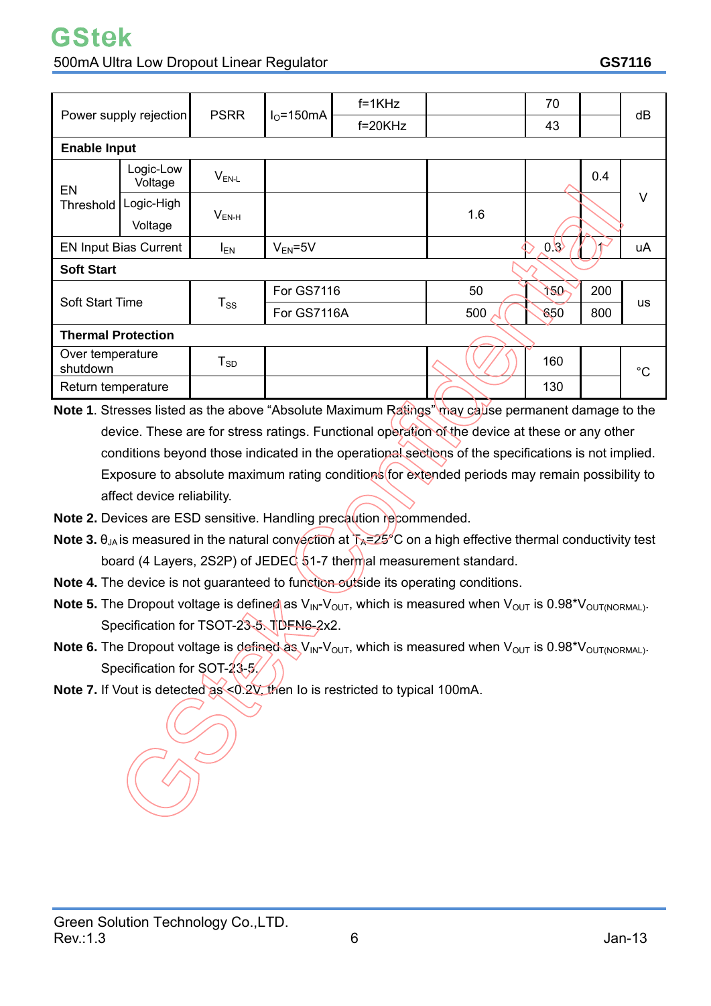# **GStek**

### 500mA Ultra Low Dropout Linear Regulator **GS7116**

| Power supply rejection       |                      | <b>PSRR</b> | $IO=150mA$        | $f=1KHz$  |     | 70  |     |             |  |
|------------------------------|----------------------|-------------|-------------------|-----------|-----|-----|-----|-------------|--|
|                              |                      |             |                   | $f=20KHz$ |     | 43  |     | dB          |  |
| <b>Enable Input</b>          |                      |             |                   |           |     |     |     |             |  |
| EN                           | Logic-Low<br>Voltage | $V_{EN-L}$  |                   |           |     |     | 0.4 | $\vee$      |  |
| Threshold                    | Logic-High           | $V_{EN-H}$  |                   |           |     |     |     |             |  |
|                              | Voltage              |             |                   |           | 1.6 |     |     |             |  |
| <b>EN Input Bias Current</b> |                      | <b>IEN</b>  | $V_{EN} = 5V$     |           |     | 0.8 |     | uA          |  |
| <b>Soft Start</b>            |                      |             |                   |           |     |     |     |             |  |
|                              |                      |             | <b>For GS7116</b> |           | 50  | 120 | 200 |             |  |
| Soft Start Time              |                      | $T_{SS}$    | For GS7116A       |           | 500 | 650 | 800 | <b>us</b>   |  |
| <b>Thermal Protection</b>    |                      |             |                   |           |     |     |     |             |  |
| Over temperature<br>shutdown |                      | $T_{SD}$    |                   |           |     | 160 |     | $^{\circ}C$ |  |
| Return temperature           |                      |             |                   |           |     | 130 |     |             |  |

- **Note 1**. Stresses listed as the above "Absolute Maximum Ratings" may cause permanent damage to the device. These are for stress ratings. Functional operation of the device at these or any other conditions beyond those indicated in the operational sections of the specifications is not implied. Exposure to absolute maximum rating conditions for extended periods may remain possibility to affect device reliability.
- **Note 2.** Devices are ESD sensitive. Handling precaution recommended.
- **Note 3.**  $\theta_{JA}$  is measured in the natural convection at  $T_A=25^{\circ}$ C on a high effective thermal conductivity test board (4 Layers, 2S2P) of JEDEC  $51-7$  thermal measurement standard.
- **Note 4.** The device is not guaranteed to function *outside* its operating conditions.
- **Note 5.** The Dropout voltage is defined as  $V_{\text{IN}}-V_{\text{OUT}}$ , which is measured when  $V_{\text{OUT}}$  is 0.98<sup>\*</sup> $V_{\text{OUT/NORMAL}}$ . Specification for TSOT-23-5. TDFN6-2x2.
- **Note 6.** The Dropout voltage is defined as  $V_{\text{IN}}-V_{\text{OUT}}$ , which is measured when  $V_{\text{OUT}}$  is 0.98<sup>\*</sup> $V_{\text{OUT/NORMAL}}$ . Specification for SOT-23-5/
- **Note 7.** If Vout is detected as <0.2V, then Io is restricted to typical 100mA.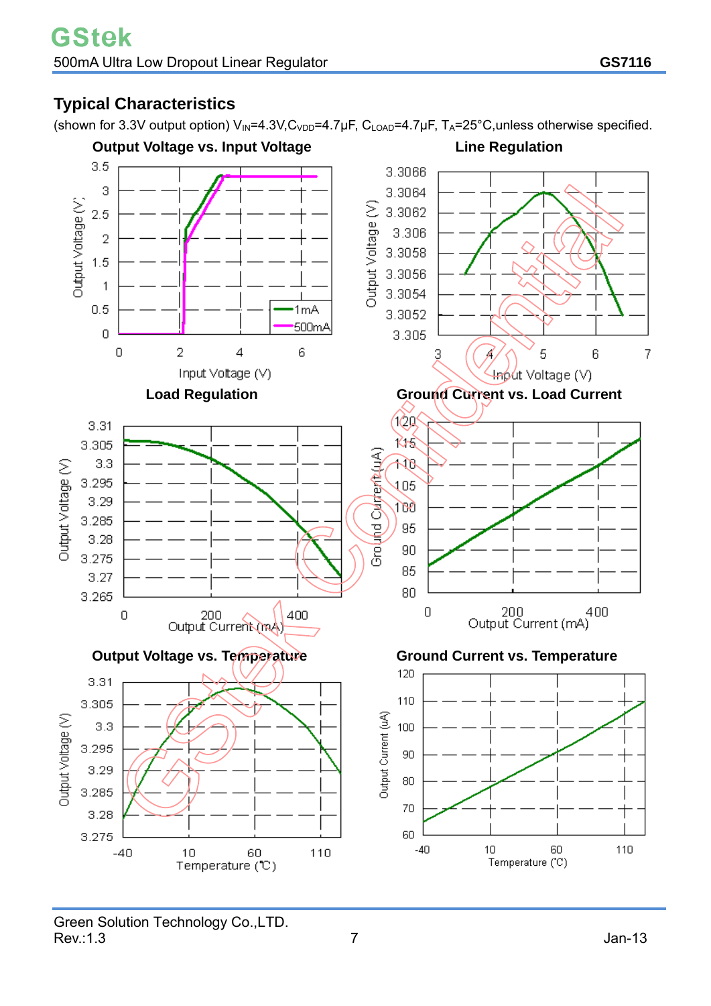## **Typical Characteristics**

(shown for 3.3V output option)  $V_{IN}$ =4.3V,C<sub>VDD</sub>=4.7µF, C<sub>LOAD</sub>=4.7µF, T<sub>A</sub>=25°C,unless otherwise specified.

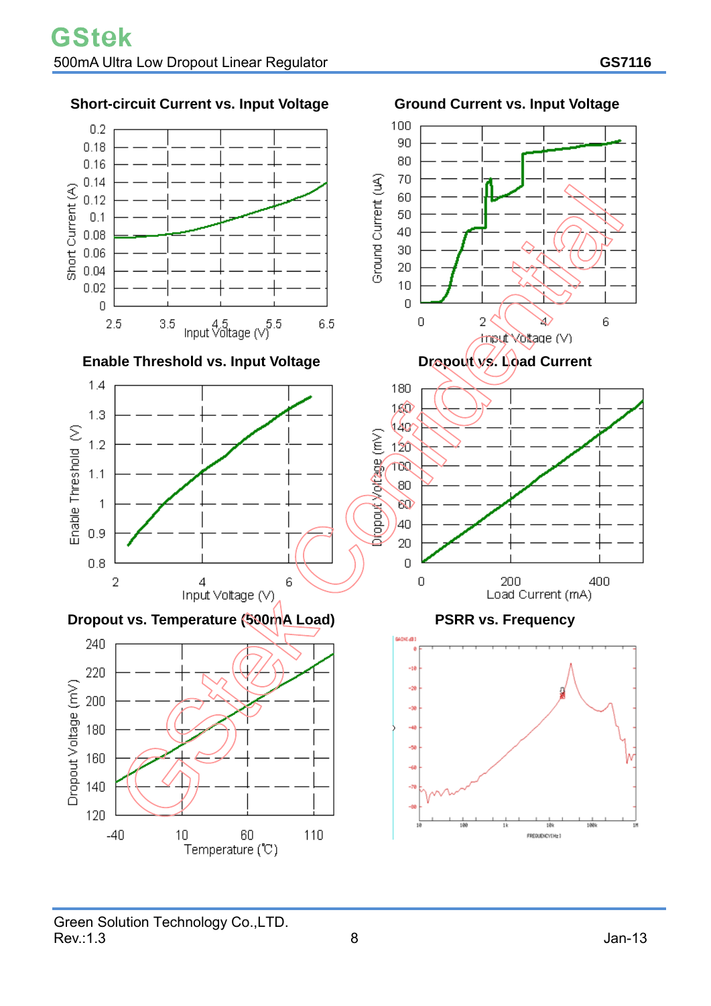

Green Solution Technology Co., LTD.<br>Rev.:1.3  $Rev.:1.3$  Jan-13

Temperature (°C)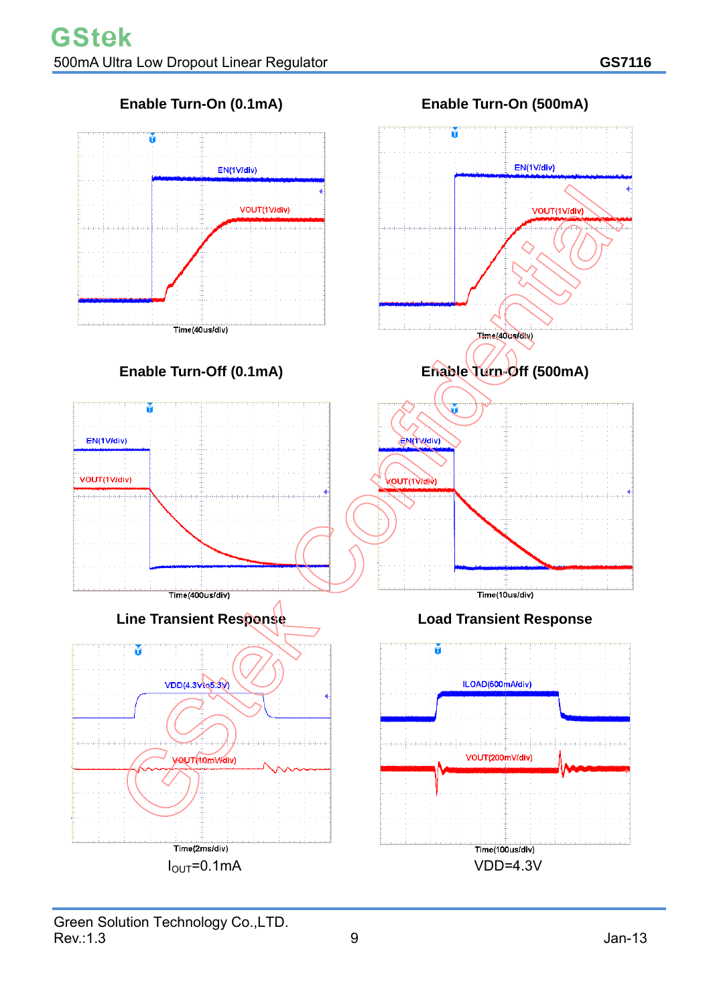

 $I<sub>OUT</sub>=0.1mA$ 

Green Solution Technology Co., LTD.<br>Rev.: 1.3  $\mathsf{Rev}$ :1.3 Jan-13

VDD=4.3V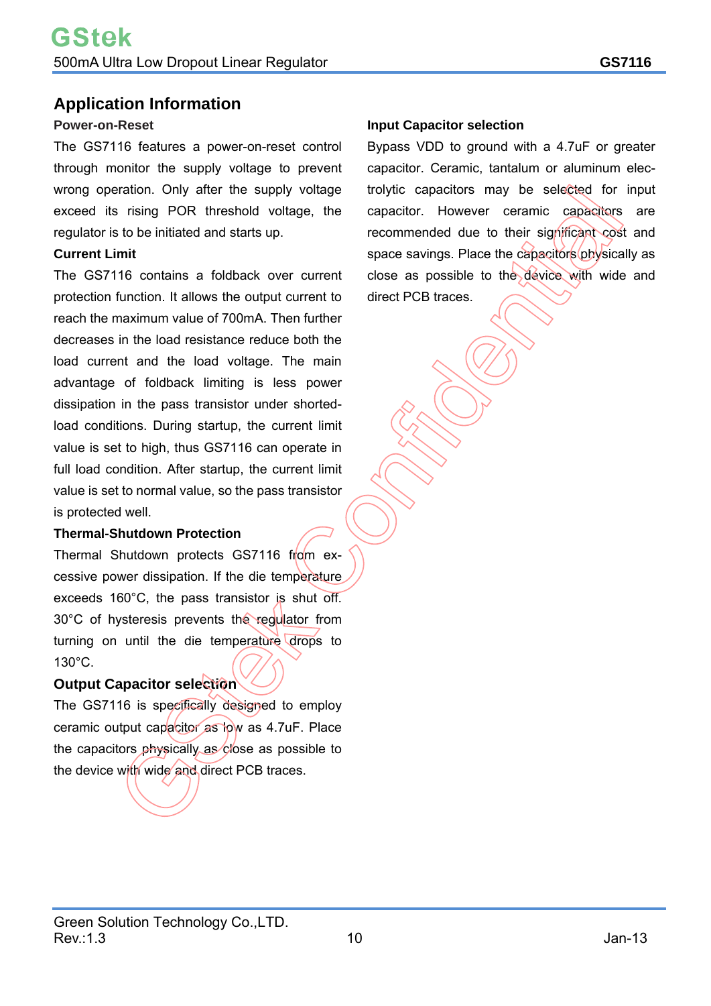### **Application Information**

### **Power-on-Reset**

The GS7116 features a power-on-reset control through monitor the supply voltage to prevent wrong operation. Only after the supply voltage exceed its rising POR threshold voltage, the regulator is to be initiated and starts up.

### **Current Limit**

The GS7116 contains a foldback over current protection function. It allows the output current to reach the maximum value of 700mA. Then further decreases in the load resistance reduce both the load current and the load voltage. The main advantage of foldback limiting is less power dissipation in the pass transistor under shortedload conditions. During startup, the current limit value is set to high, thus GS7116 can operate in full load condition. After startup, the current limit value is set to normal value, so the pass transistor is protected well.

### **Thermal-Shutdown Protection**

Thermal Shutdown protects GS7116 from excessive power dissipation. If the die temperature exceeds 160°C, the pass transistor is shut off. 30°C of hysteresis prevents the regulator from turning on until the die temperature drops to 130°C.

### **Output Capacitor selection**

The GS7116 is specifically designed to employ ceramic output capacitor as low as 4.7uF. Place the capacitors physically as close as possible to the device with wide and direct PCB traces.

### **Input Capacitor selection**

Bypass VDD to ground with a 4.7uF or greater capacitor. Ceramic, tantalum or aluminum electrolytic capacitors may be selected for input capacitor. However ceramic capacitors are recommended due to their significant cost and space savings. Place the capacitors physically as close as possible to the device with wide and direct PCB traces.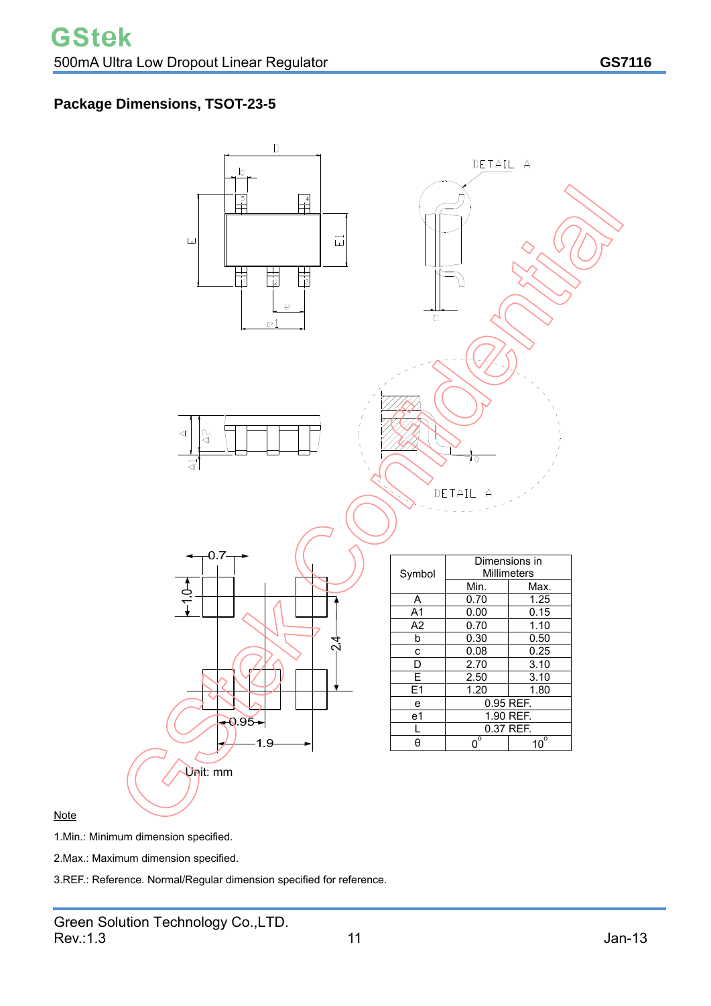## **Package Dimensions, TSOT-23-5**



### **Note**

1.Min.: Minimum dimension specified.

2.Max.: Maximum dimension specified.

3.REF.: Reference. Normal/Regular dimension specified for reference.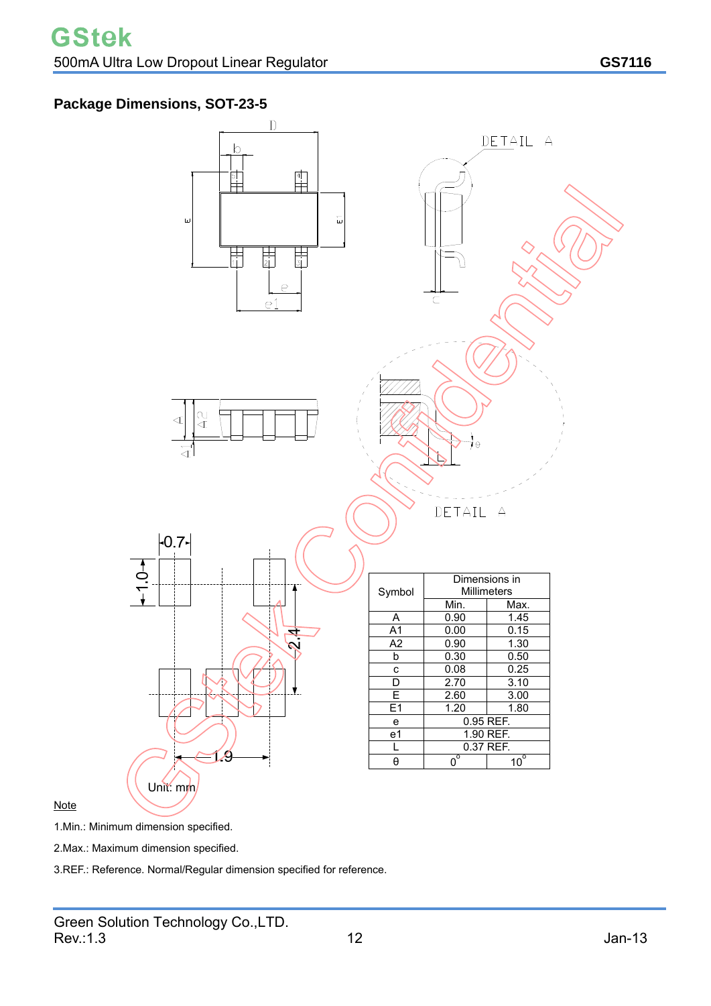## **Package Dimensions, SOT-23-5**



### **Note**

1.Min.: Minimum dimension specified.

2.Max.: Maximum dimension specified.

3.REF.: Reference. Normal/Regular dimension specified for reference.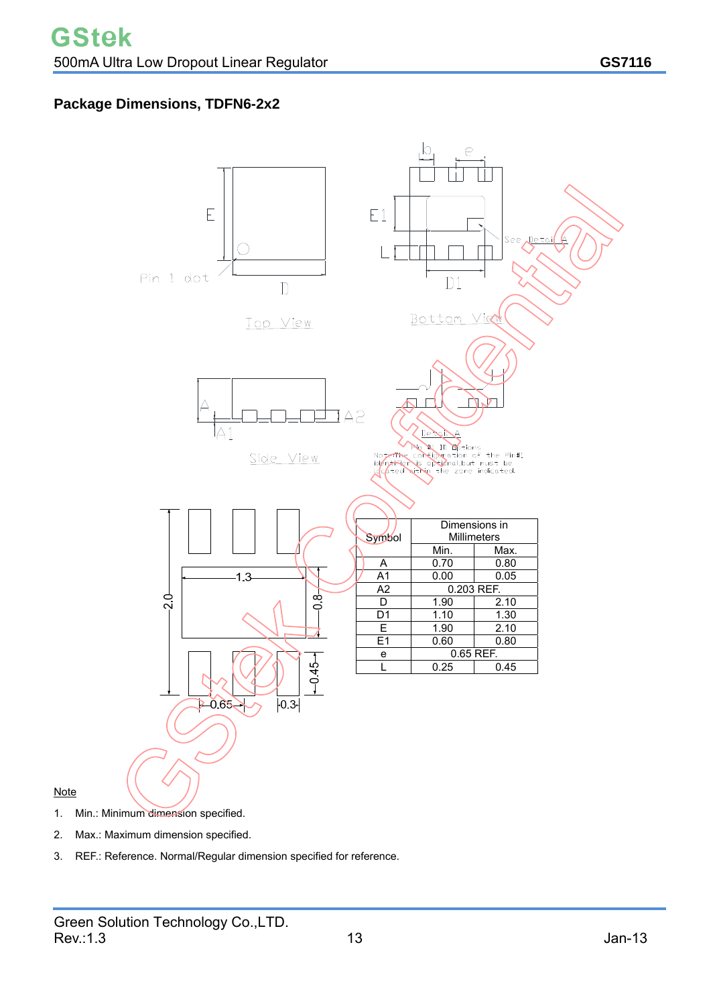### **Package Dimensions, TDFN6-2x2**



### Note

- 1. Min.: Minimum dimension specified.
- 2. Max.: Maximum dimension specified.
- 3. REF.: Reference. Normal/Regular dimension specified for reference.